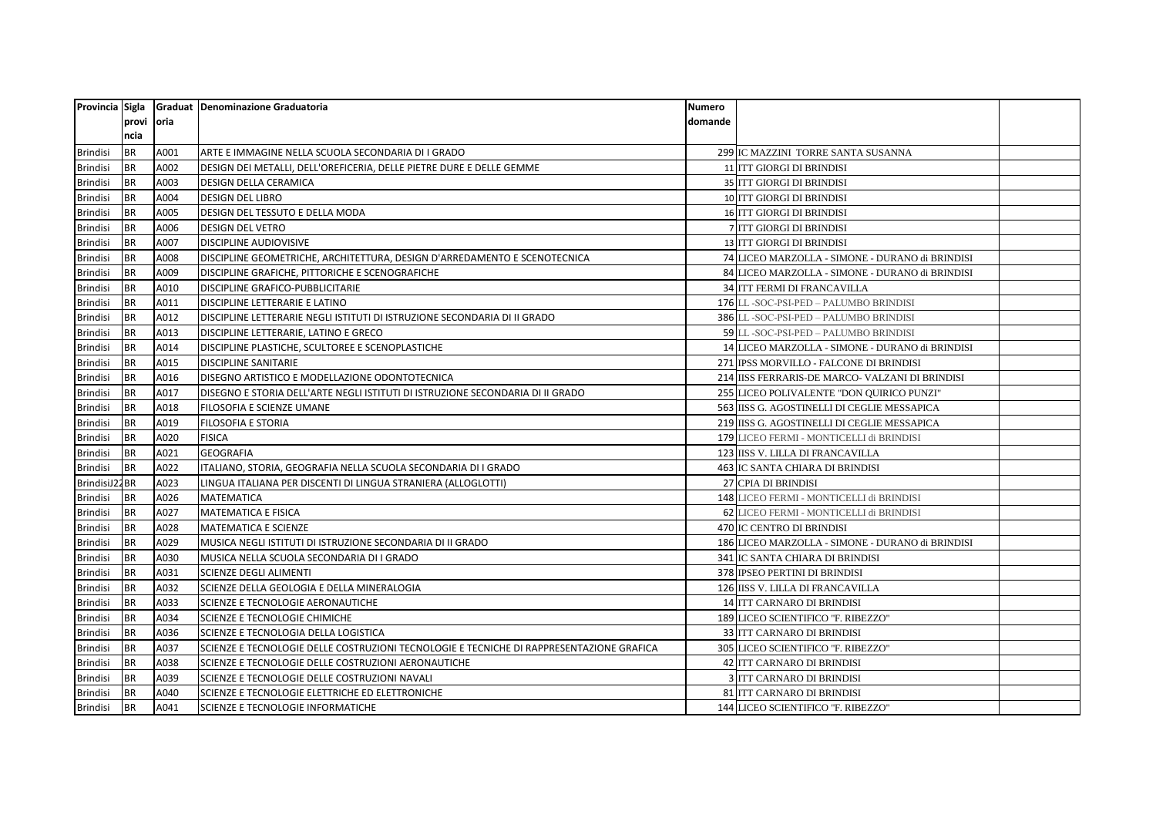|                 |            |      | Provincia Sigla Graduat Denominazione Graduatoria                                        | Numero  |                                                  |  |
|-----------------|------------|------|------------------------------------------------------------------------------------------|---------|--------------------------------------------------|--|
|                 | provi oria |      |                                                                                          | domande |                                                  |  |
|                 | ncia       |      |                                                                                          |         |                                                  |  |
| <b>Brindisi</b> | <b>BR</b>  | A001 | ARTE E IMMAGINE NELLA SCUOLA SECONDARIA DI I GRADO                                       |         | 299 IC MAZZINI TORRE SANTA SUSANNA               |  |
| <b>Brindisi</b> | <b>BR</b>  | A002 | DESIGN DEI METALLI, DELL'OREFICERIA, DELLE PIETRE DURE E DELLE GEMME                     |         | 11 ITT GIORGI DI BRINDISI                        |  |
| <b>Brindisi</b> | <b>BR</b>  | A003 | DESIGN DELLA CERAMICA                                                                    |         | 35 ITT GIORGI DI BRINDISI                        |  |
| <b>Brindisi</b> | <b>BR</b>  | A004 | <b>DESIGN DEL LIBRO</b>                                                                  |         | 10 ITT GIORGI DI BRINDISI                        |  |
| <b>Brindisi</b> | <b>BR</b>  | A005 | DESIGN DEL TESSUTO E DELLA MODA                                                          |         | 16 ITT GIORGI DI BRINDISI                        |  |
| <b>Brindisi</b> | <b>BR</b>  | A006 | DESIGN DEL VETRO                                                                         |         | 7 ITT GIORGI DI BRINDISI                         |  |
| <b>Brindisi</b> | <b>BR</b>  | A007 | DISCIPLINE AUDIOVISIVE                                                                   |         | 13 ITT GIORGI DI BRINDISI                        |  |
| <b>Brindisi</b> | <b>BR</b>  | A008 | DISCIPLINE GEOMETRICHE, ARCHITETTURA, DESIGN D'ARREDAMENTO E SCENOTECNICA                |         | 74 LICEO MARZOLLA - SIMONE - DURANO di BRINDISI  |  |
| <b>Brindisi</b> | <b>BR</b>  | A009 | DISCIPLINE GRAFICHE, PITTORICHE E SCENOGRAFICHE                                          |         | 84 LICEO MARZOLLA - SIMONE - DURANO di BRINDISI  |  |
| <b>Brindisi</b> | <b>BR</b>  | A010 | DISCIPLINE GRAFICO-PUBBLICITARIE                                                         |         | <b>34 ITT FERMI DI FRANCAVILLA</b>               |  |
| <b>Brindisi</b> | <b>BR</b>  | A011 | DISCIPLINE LETTERARIE E LATINO                                                           |         | 176 LL -SOC-PSI-PED - PALUMBO BRINDISI           |  |
| <b>Brindisi</b> | <b>BR</b>  | A012 | DISCIPLINE LETTERARIE NEGLI ISTITUTI DI ISTRUZIONE SECONDARIA DI II GRADO                |         | 386 LL-SOC-PSI-PED - PALUMBO BRINDISI            |  |
| <b>Brindisi</b> | <b>BR</b>  | A013 | DISCIPLINE LETTERARIE, LATINO E GRECO                                                    |         | 59 LL -SOC-PSI-PED - PALUMBO BRINDISI            |  |
| <b>Brindisi</b> | <b>BR</b>  | A014 | DISCIPLINE PLASTICHE, SCULTOREE E SCENOPLASTICHE                                         |         | 14 LICEO MARZOLLA - SIMONE - DURANO di BRINDISI  |  |
| Brindisi        | <b>BR</b>  | A015 | DISCIPLINE SANITARIE                                                                     |         | 271 IPSS MORVILLO - FALCONE DI BRINDISI          |  |
| <b>Brindisi</b> | <b>BR</b>  | A016 | DISEGNO ARTISTICO E MODELLAZIONE ODONTOTECNICA                                           |         | 214 IISS FERRARIS-DE MARCO- VALZANI DI BRINDISI  |  |
| Brindisi        | <b>BR</b>  | A017 | DISEGNO E STORIA DELL'ARTE NEGLI ISTITUTI DI ISTRUZIONE SECONDARIA DI II GRADO           |         | 255 LICEO POLIVALENTE "DON QUIRICO PUNZI"        |  |
| <b>Brindisi</b> | <b>BR</b>  | A018 | FILOSOFIA E SCIENZE UMANE                                                                |         | 563 IISS G. AGOSTINELLI DI CEGLIE MESSAPICA      |  |
| <b>Brindisi</b> | <b>BR</b>  | A019 | FILOSOFIA E STORIA                                                                       |         | 219 IISS G. AGOSTINELLI DI CEGLIE MESSAPICA      |  |
| <b>Brindisi</b> | <b>BR</b>  | A020 | <b>FISICA</b>                                                                            |         | 179 LICEO FERMI - MONTICELLI di BRINDISI         |  |
| <b>Brindisi</b> | <b>BR</b>  | A021 | <b>GEOGRAFIA</b>                                                                         |         | 123 IISS V. LILLA DI FRANCAVILLA                 |  |
| Brindisi        | <b>BR</b>  | A022 | ITALIANO, STORIA, GEOGRAFIA NELLA SCUOLA SECONDARIA DI I GRADO                           |         | 463 IC SANTA CHIARA DI BRINDISI                  |  |
| BrindisiJ22BR   |            | A023 | LINGUA ITALIANA PER DISCENTI DI LINGUA STRANIERA (ALLOGLOTTI)                            |         | 27 CPIA DI BRINDISI                              |  |
| <b>Brindisi</b> | <b>BR</b>  | A026 | MATEMATICA                                                                               |         | 148 LICEO FERMI - MONTICELLI di BRINDISI         |  |
| Brindisi        | <b>BR</b>  | A027 | <b>MATEMATICA E FISICA</b>                                                               |         | 62 LICEO FERMI - MONTICELLI di BRINDISI          |  |
| <b>Brindisi</b> | <b>BR</b>  | A028 | <b>MATEMATICA E SCIENZE</b>                                                              |         | 470 IC CENTRO DI BRINDISI                        |  |
| <b>Brindisi</b> | <b>BR</b>  | A029 | MUSICA NEGLI ISTITUTI DI ISTRUZIONE SECONDARIA DI II GRADO                               |         | 186 LICEO MARZOLLA - SIMONE - DURANO di BRINDISI |  |
| <b>Brindisi</b> | <b>BR</b>  | A030 | MUSICA NELLA SCUOLA SECONDARIA DI I GRADO                                                |         | <b>341 IC SANTA CHIARA DI BRINDISI</b>           |  |
| <b>Brindisi</b> | <b>BR</b>  | A031 | SCIENZE DEGLI ALIMENTI                                                                   |         | 378 IPSEO PERTINI DI BRINDISI                    |  |
| <b>Brindisi</b> | <b>BR</b>  | A032 | SCIENZE DELLA GEOLOGIA E DELLA MINERALOGIA                                               |         | 126 IISS V. LILLA DI FRANCAVILLA                 |  |
| <b>Brindisi</b> | <b>BR</b>  | A033 | SCIENZE E TECNOLOGIE AERONAUTICHE                                                        |         | 14 ITT CARNARO DI BRINDISI                       |  |
| <b>Brindisi</b> | <b>BR</b>  | A034 | SCIENZE E TECNOLOGIE CHIMICHE                                                            |         | 189 LICEO SCIENTIFICO "F. RIBEZZO"               |  |
| Brindisi        | <b>BR</b>  | A036 | SCIENZE E TECNOLOGIA DELLA LOGISTICA                                                     |         | 33 ITT CARNARO DI BRINDISI                       |  |
| <b>Brindisi</b> | <b>BR</b>  | A037 | SCIENZE E TECNOLOGIE DELLE COSTRUZIONI TECNOLOGIE E TECNICHE DI RAPPRESENTAZIONE GRAFICA |         | 305 LICEO SCIENTIFICO "F. RIBEZZO"               |  |
| <b>Brindisi</b> | <b>BR</b>  | A038 | SCIENZE E TECNOLOGIE DELLE COSTRUZIONI AERONAUTICHE                                      |         | 42 ITT CARNARO DI BRINDISI                       |  |
| <b>Brindisi</b> | <b>BR</b>  | A039 | SCIENZE E TECNOLOGIE DELLE COSTRUZIONI NAVALI                                            |         | <b>3 ITT CARNARO DI BRINDISI</b>                 |  |
| <b>Brindisi</b> | <b>BR</b>  | A040 | SCIENZE E TECNOLOGIE ELETTRICHE ED ELETTRONICHE                                          |         | 81 ITT CARNARO DI BRINDISI                       |  |
| <b>Brindisi</b> | <b>BR</b>  | A041 | SCIENZE E TECNOLOGIE INFORMATICHE                                                        |         | 144 LICEO SCIENTIFICO "F. RIBEZZO"               |  |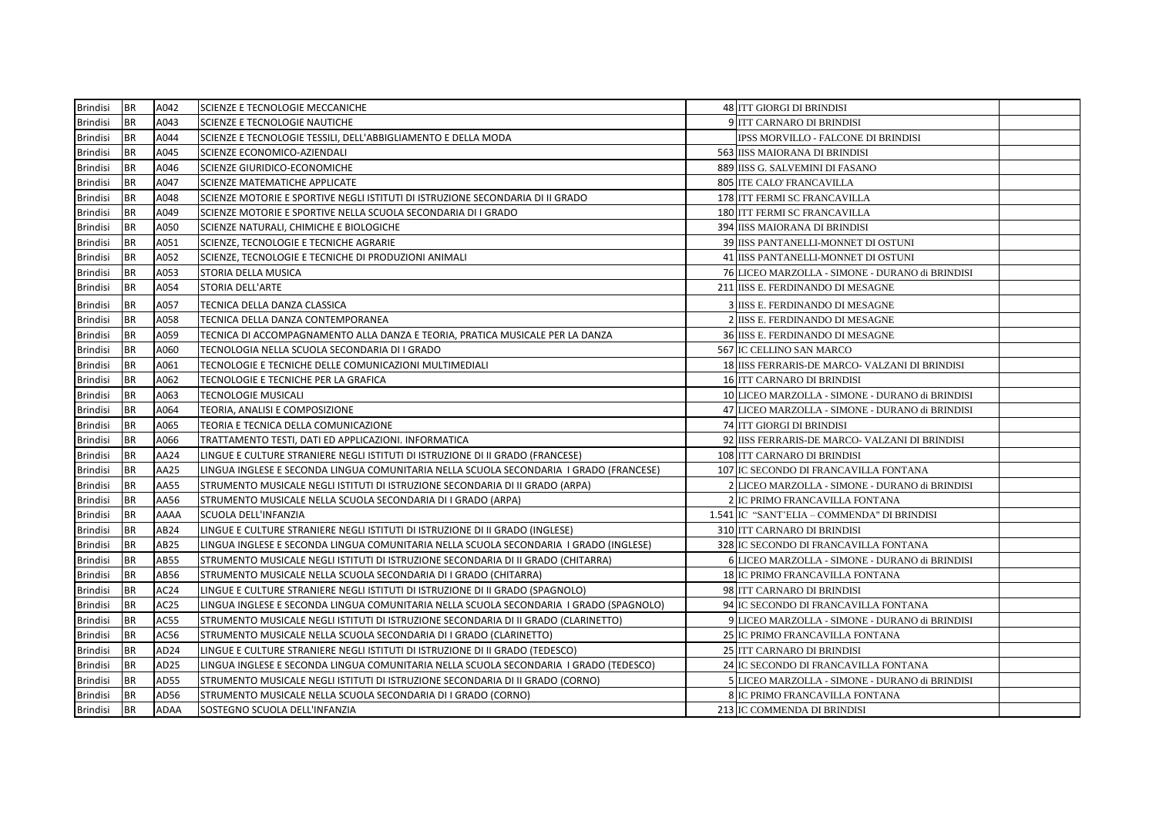| Brindisi        | <b>BR</b> | A042             | SCIENZE E TECNOLOGIE MECCANICHE                                                         | 48 ITT GIORGI DI BRINDISI                       |  |
|-----------------|-----------|------------------|-----------------------------------------------------------------------------------------|-------------------------------------------------|--|
| Brindisi        | <b>BR</b> | A043             | SCIENZE E TECNOLOGIE NAUTICHE                                                           | 9 ITT CARNARO DI BRINDISI                       |  |
| <b>Brindisi</b> | <b>BR</b> | A044             | SCIENZE E TECNOLOGIE TESSILI, DELL'ABBIGLIAMENTO E DELLA MODA                           | IPSS MORVILLO - FALCONE DI BRINDISI             |  |
| <b>Brindisi</b> | <b>BR</b> | A045             | SCIENZE ECONOMICO-AZIENDALI                                                             | 563 IISS MAIORANA DI BRINDISI                   |  |
| <b>Brindisi</b> | <b>BR</b> | A046             | <b>SCIENZE GIURIDICO-ECONOMICHE</b>                                                     | 889 IISS G. SALVEMINI DI FASANO                 |  |
| <b>Brindisi</b> | <b>BR</b> | A047             | <b>SCIENZE MATEMATICHE APPLICATE</b>                                                    | 805 ITE CALO' FRANCAVILLA                       |  |
| <b>Brindisi</b> | <b>BR</b> | A048             | SCIENZE MOTORIE E SPORTIVE NEGLI ISTITUTI DI ISTRUZIONE SECONDARIA DI II GRADO          | 178 ITT FERMI SC FRANCAVILLA                    |  |
| <b>Brindisi</b> | <b>BR</b> | A049             | SCIENZE MOTORIE E SPORTIVE NELLA SCUOLA SECONDARIA DI I GRADO                           | 180 ITT FERMI SC FRANCAVILLA                    |  |
| <b>Brindisi</b> | <b>BR</b> | A050             | SCIENZE NATURALI, CHIMICHE E BIOLOGICHE                                                 | 394 IISS MAIORANA DI BRINDISI                   |  |
| <b>Brindisi</b> | <b>BR</b> | A051             | SCIENZE, TECNOLOGIE E TECNICHE AGRARIE                                                  | 39 IISS PANTANELLI-MONNET DI OSTUNI             |  |
| <b>Brindisi</b> | <b>BR</b> | A052             | SCIENZE, TECNOLOGIE E TECNICHE DI PRODUZIONI ANIMALI                                    | 41 IISS PANTANELLI-MONNET DI OSTUNI             |  |
| <b>Brindisi</b> | <b>BR</b> | A053             | <b>STORIA DELLA MUSICA</b>                                                              | 76 LICEO MARZOLLA - SIMONE - DURANO di BRINDISI |  |
| <b>Brindisi</b> | <b>BR</b> | A054             | STORIA DELL'ARTE                                                                        | 211 IISS E. FERDINANDO DI MESAGNE               |  |
| Brindisi        | <b>BR</b> | A057             | TECNICA DELLA DANZA CLASSICA                                                            | 3 IISS E. FERDINANDO DI MESAGNE                 |  |
| <b>Brindisi</b> | <b>BR</b> | A058             | TECNICA DELLA DANZA CONTEMPORANEA                                                       | 2 IISS E. FERDINANDO DI MESAGNE                 |  |
| <b>Brindisi</b> | <b>BR</b> | A059             | TECNICA DI ACCOMPAGNAMENTO ALLA DANZA E TEORIA, PRATICA MUSICALE PER LA DANZA           | 36 IISS E. FERDINANDO DI MESAGNE                |  |
| <b>Brindisi</b> | <b>BR</b> | A060             | TECNOLOGIA NELLA SCUOLA SECONDARIA DI I GRADO                                           | 567 IC CELLINO SAN MARCO                        |  |
| <b>Brindisi</b> | <b>BR</b> | A061             | TECNOLOGIE E TECNICHE DELLE COMUNICAZIONI MULTIMEDIALI                                  | 18 IISS FERRARIS-DE MARCO- VALZANI DI BRINDISI  |  |
| <b>Brindisi</b> | <b>BR</b> | A062             | TECNOLOGIE E TECNICHE PER LA GRAFICA                                                    | 16 ITT CARNARO DI BRINDISI                      |  |
| <b>Brindisi</b> | <b>BR</b> | A063             | <b>TECNOLOGIE MUSICALI</b>                                                              | 10 LICEO MARZOLLA - SIMONE - DURANO di BRINDISI |  |
| <b>Brindisi</b> | <b>BR</b> | A064             | TEORIA, ANALISI E COMPOSIZIONE                                                          | 47 LICEO MARZOLLA - SIMONE - DURANO di BRINDISI |  |
| <b>Brindisi</b> | <b>BR</b> | A065             | TEORIA E TECNICA DELLA COMUNICAZIONE                                                    | 74 ITT GIORGI DI BRINDISI                       |  |
| <b>Brindisi</b> | <b>BR</b> | A066             | TRATTAMENTO TESTI, DATI ED APPLICAZIONI. INFORMATICA                                    | 92 IISS FERRARIS-DE MARCO- VALZANI DI BRINDISI  |  |
| <b>Brindisi</b> | <b>BR</b> | AA24             | LINGUE E CULTURE STRANIERE NEGLI ISTITUTI DI ISTRUZIONE DI II GRADO (FRANCESE)          | 108 ITT CARNARO DI BRINDISI                     |  |
| Brindisi        | <b>BR</b> | AA25             | LINGUA INGLESE E SECONDA LINGUA COMUNITARIA NELLA SCUOLA SECONDARIA  I GRADO (FRANCESE) | 107 IC SECONDO DI FRANCAVILLA FONTANA           |  |
| <b>Brindisi</b> | <b>BR</b> | AA55             | STRUMENTO MUSICALE NEGLI ISTITUTI DI ISTRUZIONE SECONDARIA DI II GRADO (ARPA)           | 2 LICEO MARZOLLA - SIMONE - DURANO di BRINDISI  |  |
| <b>Brindisi</b> | <b>BR</b> | AA56             | STRUMENTO MUSICALE NELLA SCUOLA SECONDARIA DI I GRADO (ARPA)                            | 2 IC PRIMO FRANCAVILLA FONTANA                  |  |
| <b>Brindisi</b> | <b>BR</b> | AAAA             | <b>SCUOLA DELL'INFANZIA</b>                                                             | 1.541 IC "SANT'ELIA - COMMENDA" DI BRINDISI     |  |
| <b>Brindisi</b> | <b>BR</b> | AB24             | LINGUE E CULTURE STRANIERE NEGLI ISTITUTI DI ISTRUZIONE DI II GRADO (INGLESE)           | 310 ITT CARNARO DI BRINDISI                     |  |
| <b>Brindisi</b> | <b>BR</b> | AB25             | LINGUA INGLESE E SECONDA LINGUA COMUNITARIA NELLA SCUOLA SECONDARIA I GRADO (INGLESE)   | 328 IC SECONDO DI FRANCAVILLA FONTANA           |  |
| Brindisi        | <b>BR</b> | AB55             | STRUMENTO MUSICALE NEGLI ISTITUTI DI ISTRUZIONE SECONDARIA DI II GRADO (CHITARRA)       | 6 LICEO MARZOLLA - SIMONE - DURANO di BRINDISI  |  |
| <b>Brindisi</b> | <b>BR</b> | AB56             | STRUMENTO MUSICALE NELLA SCUOLA SECONDARIA DI I GRADO (CHITARRA)                        | <b>18 IC PRIMO FRANCAVILLA FONTANA</b>          |  |
| <b>Brindisi</b> | <b>BR</b> | AC24             | LINGUE E CULTURE STRANIERE NEGLI ISTITUTI DI ISTRUZIONE DI II GRADO (SPAGNOLO)          | 98 ITT CARNARO DI BRINDISI                      |  |
| <b>Brindisi</b> | <b>BR</b> | AC25             | LINGUA INGLESE E SECONDA LINGUA COMUNITARIA NELLA SCUOLA SECONDARIA I GRADO (SPAGNOLO)  | 94 IC SECONDO DI FRANCAVILLA FONTANA            |  |
| <b>Brindisi</b> | <b>BR</b> | AC55             | STRUMENTO MUSICALE NEGLI ISTITUTI DI ISTRUZIONE SECONDARIA DI II GRADO (CLARINETTO)     | 9 LICEO MARZOLLA - SIMONE - DURANO di BRINDISI  |  |
| Brindisi        | <b>BR</b> | AC56             | STRUMENTO MUSICALE NELLA SCUOLA SECONDARIA DI I GRADO (CLARINETTO)                      | 25 IC PRIMO FRANCAVILLA FONTANA                 |  |
| <b>Brindisi</b> | <b>BR</b> | AD <sub>24</sub> | LINGUE E CULTURE STRANIERE NEGLI ISTITUTI DI ISTRUZIONE DI II GRADO (TEDESCO)           | 25 ITT CARNARO DI BRINDISI                      |  |
| <b>Brindisi</b> | <b>BR</b> | AD25             | LINGUA INGLESE E SECONDA LINGUA COMUNITARIA NELLA SCUOLA SECONDARIA I GRADO (TEDESCO)   | 24 IC SECONDO DI FRANCAVILLA FONTANA            |  |
| <b>Brindisi</b> | <b>BR</b> | AD55             | STRUMENTO MUSICALE NEGLI ISTITUTI DI ISTRUZIONE SECONDARIA DI II GRADO (CORNO)          | 5 LICEO MARZOLLA - SIMONE - DURANO di BRINDISI  |  |
| <b>Brindisi</b> | <b>BR</b> | AD56             | STRUMENTO MUSICALE NELLA SCUOLA SECONDARIA DI I GRADO (CORNO)                           | 8 IC PRIMO FRANCAVILLA FONTANA                  |  |
| Brindisi        | <b>BR</b> | <b>ADAA</b>      | SOSTEGNO SCUOLA DELL'INFANZIA                                                           | 213 IC COMMENDA DI BRINDISI                     |  |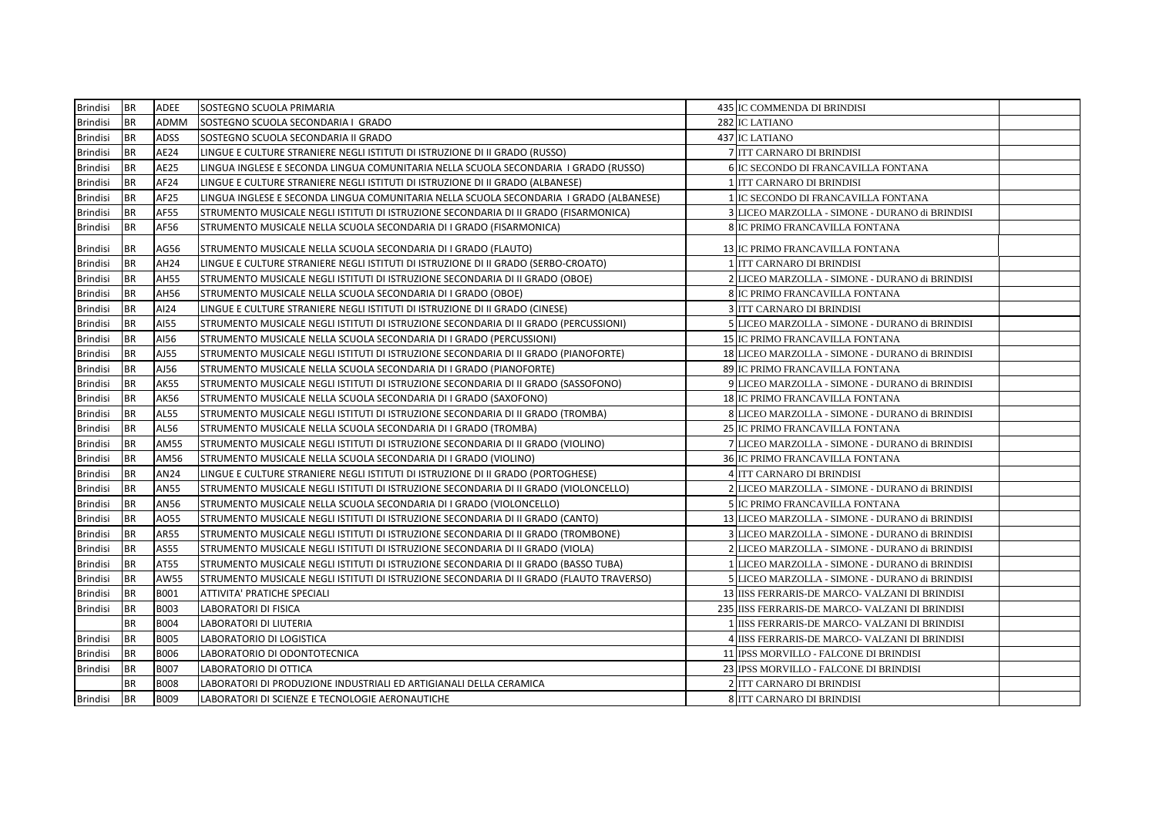| Brindisi        | <b>BR</b> | <b>ADEE</b> | <b>SOSTEGNO SCUOLA PRIMARIA</b>                                                          | 435 IC COMMENDA DI BRINDISI                     |  |
|-----------------|-----------|-------------|------------------------------------------------------------------------------------------|-------------------------------------------------|--|
| <b>Brindisi</b> | <b>BR</b> | ADMM        | SOSTEGNO SCUOLA SECONDARIA I GRADO                                                       | 282 IC LATIANO                                  |  |
| <b>Brindisi</b> | <b>BR</b> | <b>ADSS</b> | SOSTEGNO SCUOLA SECONDARIA II GRADO                                                      | 437 IC LATIANO                                  |  |
| <b>Brindisi</b> | BR        | AE24        | LINGUE E CULTURE STRANIERE NEGLI ISTITUTI DI ISTRUZIONE DI II GRADO (RUSSO)              | 7 ITT CARNARO DI BRINDISI                       |  |
| <b>Brindisi</b> | <b>BR</b> | <b>AE25</b> | LINGUA INGLESE E SECONDA LINGUA COMUNITARIA NELLA SCUOLA SECONDARIA I GRADO (RUSSO)      | <b>6 IC SECONDO DI FRANCAVILLA FONTANA</b>      |  |
| <b>Brindisi</b> | <b>BR</b> | AF24        | LINGUE E CULTURE STRANIERE NEGLI ISTITUTI DI ISTRUZIONE DI II GRADO (ALBANESE)           | 1 ITT CARNARO DI BRINDISI                       |  |
| <b>Brindisi</b> | <b>BR</b> | AF25        | LINGUA INGLESE E SECONDA LINGUA COMUNITARIA NELLA SCUOLA SECONDARIA  I GRADO (ALBANESE)  | 1 IC SECONDO DI FRANCAVILLA FONTANA             |  |
| <b>Brindisi</b> | <b>BR</b> | <b>AF55</b> | STRUMENTO MUSICALE NEGLI ISTITUTI DI ISTRUZIONE SECONDARIA DI II GRADO (FISARMONICA)     | 3 LICEO MARZOLLA - SIMONE - DURANO di BRINDISI  |  |
| Brindisi        | BR        | AF56        | STRUMENTO MUSICALE NELLA SCUOLA SECONDARIA DI I GRADO (FISARMONICA)                      | 8 IC PRIMO FRANCAVILLA FONTANA                  |  |
| Brindisi        | <b>BR</b> | AG56        | STRUMENTO MUSICALE NELLA SCUOLA SECONDARIA DI I GRADO (FLAUTO)                           | <b>13 IC PRIMO FRANCAVILLA FONTANA</b>          |  |
| <b>Brindisi</b> | <b>BR</b> | AH24        | LINGUE E CULTURE STRANIERE NEGLI ISTITUTI DI ISTRUZIONE DI II GRADO (SERBO-CROATO)       | 1 ITT CARNARO DI BRINDISI                       |  |
| <b>Brindisi</b> | <b>BR</b> | <b>AH55</b> | STRUMENTO MUSICALE NEGLI ISTITUTI DI ISTRUZIONE SECONDARIA DI II GRADO (OBOE)            | 2 LICEO MARZOLLA - SIMONE - DURANO di BRINDISI  |  |
| Brindisi        | <b>BR</b> | AH56        | STRUMENTO MUSICALE NELLA SCUOLA SECONDARIA DI I GRADO (OBOE)                             | 8 IC PRIMO FRANCAVILLA FONTANA                  |  |
| Brindisi        | BR        | AI24        | LINGUE E CULTURE STRANIERE NEGLI ISTITUTI DI ISTRUZIONE DI II GRADO (CINESE)             | <b>3 ITT CARNARO DI BRINDISI</b>                |  |
| Brindisi        | <b>BR</b> | AI55        | STRUMENTO MUSICALE NEGLI ISTITUTI DI ISTRUZIONE SECONDARIA DI II GRADO (PERCUSSIONI)     | 5 LICEO MARZOLLA - SIMONE - DURANO di BRINDISI  |  |
| <b>Brindisi</b> | <b>BR</b> | AI56        | STRUMENTO MUSICALE NELLA SCUOLA SECONDARIA DI I GRADO (PERCUSSIONI)                      | <b>15 IC PRIMO FRANCAVILLA FONTANA</b>          |  |
| Brindisi        | BR        | AJ55        | STRUMENTO MUSICALE NEGLI ISTITUTI DI ISTRUZIONE SECONDARIA DI II GRADO (PIANOFORTE)      | 18 LICEO MARZOLLA - SIMONE - DURANO di BRINDISI |  |
| <b>Brindisi</b> | <b>BR</b> | AJ56        | STRUMENTO MUSICALE NELLA SCUOLA SECONDARIA DI I GRADO (PIANOFORTE)                       | 89 IC PRIMO FRANCAVILLA FONTANA                 |  |
| <b>Brindisi</b> | <b>BR</b> | <b>AK55</b> | STRUMENTO MUSICALE NEGLI ISTITUTI DI ISTRUZIONE SECONDARIA DI II GRADO (SASSOFONO)       | 9 LICEO MARZOLLA - SIMONE - DURANO di BRINDISI  |  |
| <b>Brindisi</b> | <b>BR</b> | <b>AK56</b> | STRUMENTO MUSICALE NELLA SCUOLA SECONDARIA DI I GRADO (SAXOFONO)                         | <b>18 IC PRIMO FRANCAVILLA FONTANA</b>          |  |
| <b>Brindisi</b> | <b>BR</b> | <b>AL55</b> | STRUMENTO MUSICALE NEGLI ISTITUTI DI ISTRUZIONE SECONDARIA DI II GRADO (TROMBA)          | 8 LICEO MARZOLLA - SIMONE - DURANO di BRINDISI  |  |
| Brindisi        | <b>BR</b> | AL56        | STRUMENTO MUSICALE NELLA SCUOLA SECONDARIA DI I GRADO (TROMBA)                           | 25 IC PRIMO FRANCAVILLA FONTANA                 |  |
| <b>Brindisi</b> | <b>BR</b> | <b>AM55</b> | STRUMENTO MUSICALE NEGLI ISTITUTI DI ISTRUZIONE SECONDARIA DI II GRADO (VIOLINO)         | 7 LICEO MARZOLLA - SIMONE - DURANO di BRINDISI  |  |
| Brindisi        | BR        | AM56        | STRUMENTO MUSICALE NELLA SCUOLA SECONDARIA DI I GRADO (VIOLINO)                          | 36 IC PRIMO FRANCAVILLA FONTANA                 |  |
| <b>Brindisi</b> | <b>BR</b> | AN24        | LINGUE E CULTURE STRANIERE NEGLI ISTITUTI DI ISTRUZIONE DI II GRADO (PORTOGHESE)         | <b>4 ITT CARNARO DI BRINDISI</b>                |  |
| <b>Brindisi</b> | <b>BR</b> | <b>AN55</b> | STRUMENTO MUSICALE NEGLI ISTITUTI DI ISTRUZIONE SECONDARIA DI II GRADO (VIOLONCELLO)     | 2 LICEO MARZOLLA - SIMONE - DURANO di BRINDISI  |  |
| Brindisi        | <b>BR</b> | AN56        | STRUMENTO MUSICALE NELLA SCUOLA SECONDARIA DI I GRADO (VIOLONCELLO)                      | <b>5 IC PRIMO FRANCAVILLA FONTANA</b>           |  |
| <b>Brindisi</b> | <b>BR</b> | A055        | STRUMENTO MUSICALE NEGLI ISTITUTI DI ISTRUZIONE SECONDARIA DI II GRADO (CANTO)           | 13 LICEO MARZOLLA - SIMONE - DURANO di BRINDISI |  |
| Brindisi        | <b>BR</b> | AR55        | STRUMENTO MUSICALE NEGLI ISTITUTI DI ISTRUZIONE SECONDARIA DI II GRADO (TROMBONE)        | 3 LICEO MARZOLLA - SIMONE - DURANO di BRINDISI  |  |
| <b>Brindisi</b> | <b>BR</b> | AS55        | STRUMENTO MUSICALE NEGLI ISTITUTI DI ISTRUZIONE SECONDARIA DI II GRADO (VIOLA)           | 2 LICEO MARZOLLA - SIMONE - DURANO di BRINDISI  |  |
| Brindisi        | <b>BR</b> | AT55        | STRUMENTO MUSICALE NEGLI ISTITUTI DI ISTRUZIONE SECONDARIA DI II GRADO (BASSO TUBA)      | 1 LICEO MARZOLLA - SIMONE - DURANO di BRINDISI  |  |
| <b>Brindisi</b> | <b>BR</b> | <b>AW55</b> | STRUMENTO MUSICALE NEGLI ISTITUTI DI ISTRUZIONE SECONDARIA DI II GRADO (FLAUTO TRAVERSO) | 5 LICEO MARZOLLA - SIMONE - DURANO di BRINDISI  |  |
| <b>Brindisi</b> | <b>BR</b> | <b>B001</b> | ATTIVITA' PRATICHE SPECIALI                                                              | 13 IISS FERRARIS-DE MARCO- VALZANI DI BRINDISI  |  |
| <b>Brindisi</b> | <b>BR</b> | <b>B003</b> | LABORATORI DI FISICA                                                                     | 235 IISS FERRARIS-DE MARCO- VALZANI DI BRINDISI |  |
|                 | <b>BR</b> | <b>B004</b> | LABORATORI DI LIUTERIA                                                                   | 1 IISS FERRARIS-DE MARCO- VALZANI DI BRINDISI   |  |
| Brindisi        | <b>BR</b> | <b>B005</b> | LABORATORIO DI LOGISTICA                                                                 | 4 IISS FERRARIS-DE MARCO- VALZANI DI BRINDISI   |  |
| <b>Brindisi</b> | <b>BR</b> | <b>B006</b> | LABORATORIO DI ODONTOTECNICA                                                             | 11 IPSS MORVILLO - FALCONE DI BRINDISI          |  |
| <b>Brindisi</b> | <b>BR</b> | <b>B007</b> | LABORATORIO DI OTTICA                                                                    | 23 IPSS MORVILLO - FALCONE DI BRINDISI          |  |
|                 | <b>BR</b> | <b>B008</b> | LABORATORI DI PRODUZIONE INDUSTRIALI ED ARTIGIANALI DELLA CERAMICA                       | 2 ITT CARNARO DI BRINDISI                       |  |
| Brindisi        | <b>BR</b> | B009        | LABORATORI DI SCIENZE E TECNOLOGIE AERONAUTICHE                                          | 8 ITT CARNARO DI BRINDISI                       |  |